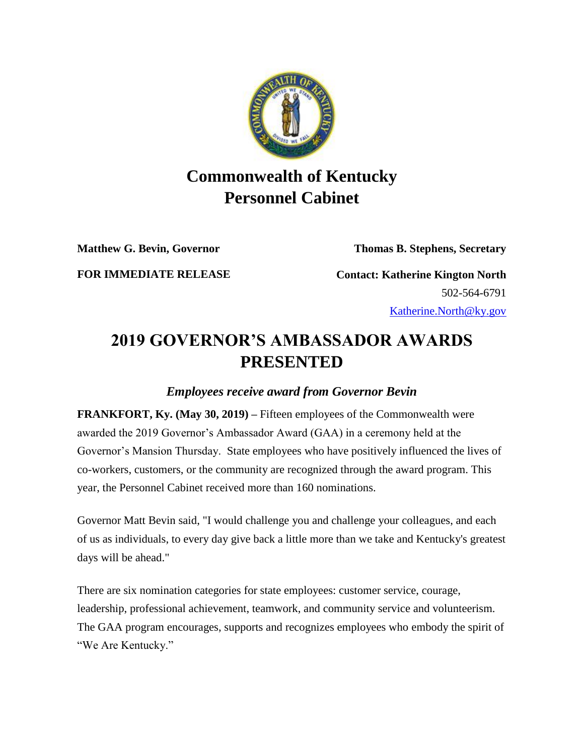

## **Commonwealth of Kentucky Personnel Cabinet**

**Matthew G. Bevin, Governor Thomas B. Stephens, Secretary**

**FOR IMMEDIATE RELEASE Contact: Katherine Kington North** 502-564-6791

[Katherine.North@ky.gov](mailto:LaDonna.Koebel.ky.gov)

## **2019 GOVERNOR'S AMBASSADOR AWARDS PRESENTED**

## *Employees receive award from Governor Bevin*

**FRANKFORT, Ky. (May 30, 2019) –** Fifteen employees of the Commonwealth were awarded the 2019 Governor's Ambassador Award (GAA) in a ceremony held at the Governor's Mansion Thursday. State employees who have positively influenced the lives of co-workers, customers, or the community are recognized through the award program. This year, the Personnel Cabinet received more than 160 nominations.

Governor Matt Bevin said, "I would challenge you and challenge your colleagues, and each of us as individuals, to every day give back a little more than we take and Kentucky's greatest days will be ahead."

There are six nomination categories for state employees: customer service, courage, leadership, professional achievement, teamwork, and community service and volunteerism. The GAA program encourages, supports and recognizes employees who embody the spirit of "We Are Kentucky."